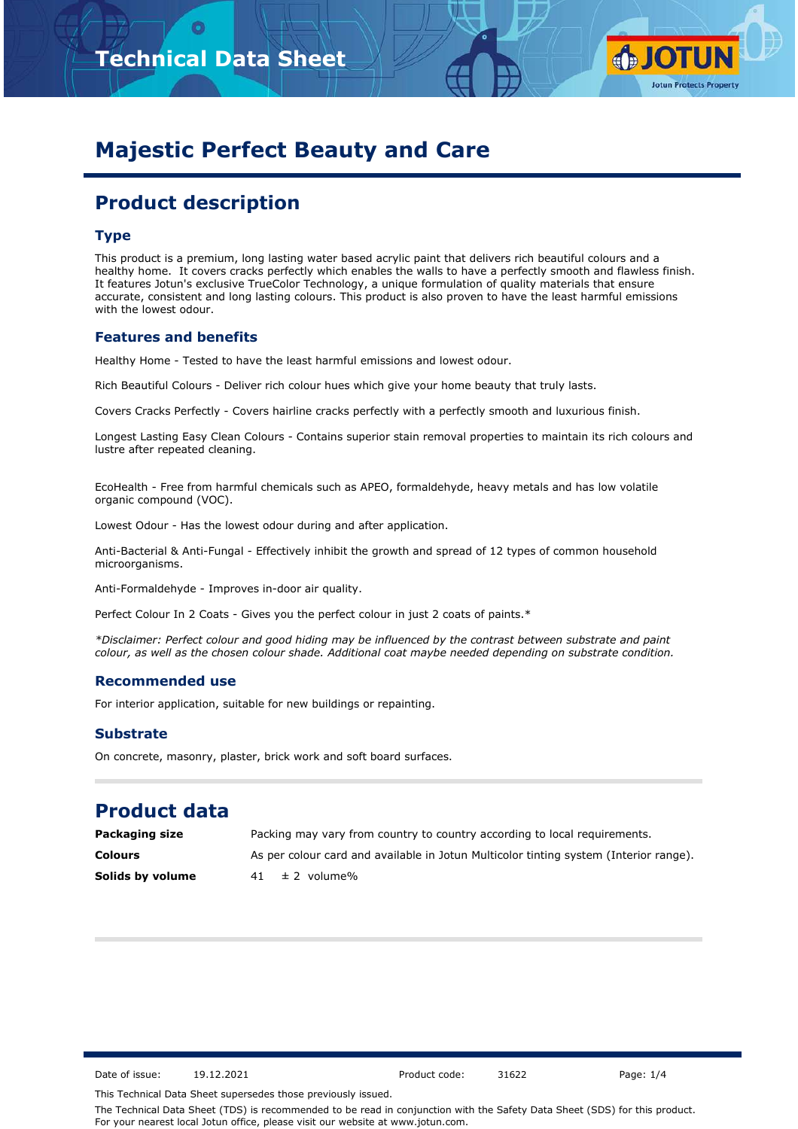

# **Majestic Perfect Beauty and Care**

# **Product description**

### **Type**

This product is a premium, long lasting water based acrylic paint that delivers rich beautiful colours and a healthy home. It covers cracks perfectly which enables the walls to have a perfectly smooth and flawless finish. It features Jotun's exclusive TrueColor Technology, a unique formulation of quality materials that ensure accurate, consistent and long lasting colours. This product is also proven to have the least harmful emissions with the lowest odour.

### **Features and benefits**

Healthy Home - Tested to have the least harmful emissions and lowest odour.

Rich Beautiful Colours - Deliver rich colour hues which give your home beauty that truly lasts.

Covers Cracks Perfectly - Covers hairline cracks perfectly with a perfectly smooth and luxurious finish.

Longest Lasting Easy Clean Colours - Contains superior stain removal properties to maintain its rich colours and lustre after repeated cleaning.

EcoHealth - Free from harmful chemicals such as APEO, formaldehyde, heavy metals and has low volatile organic compound (VOC).

Lowest Odour - Has the lowest odour during and after application.

Anti-Bacterial & Anti-Fungal - Effectively inhibit the growth and spread of 12 types of common household microorganisms.

Anti-Formaldehyde - Improves in-door air quality.

Perfect Colour In 2 Coats - Gives you the perfect colour in just 2 coats of paints.\*

*\*Disclaimer: Perfect colour and good hiding may be influenced by the contrast between substrate and paint colour, as well as the chosen colour shade. Additional coat maybe needed depending on substrate condition.*

### **Recommended use**

For interior application, suitable for new buildings or repainting.

### **Substrate**

On concrete, masonry, plaster, brick work and soft board surfaces.

# **Product data**

**Colours** As per colour card and available in Jotun Multicolor tinting system (Interior range). **Solids by volume** 41  $\pm$  2 volume% **Packaging size Packing may vary from country to country according to local requirements.** 

Date of issue: 19.12.2021 Product code: 31622 Page: 1/4

This Technical Data Sheet supersedes those previously issued.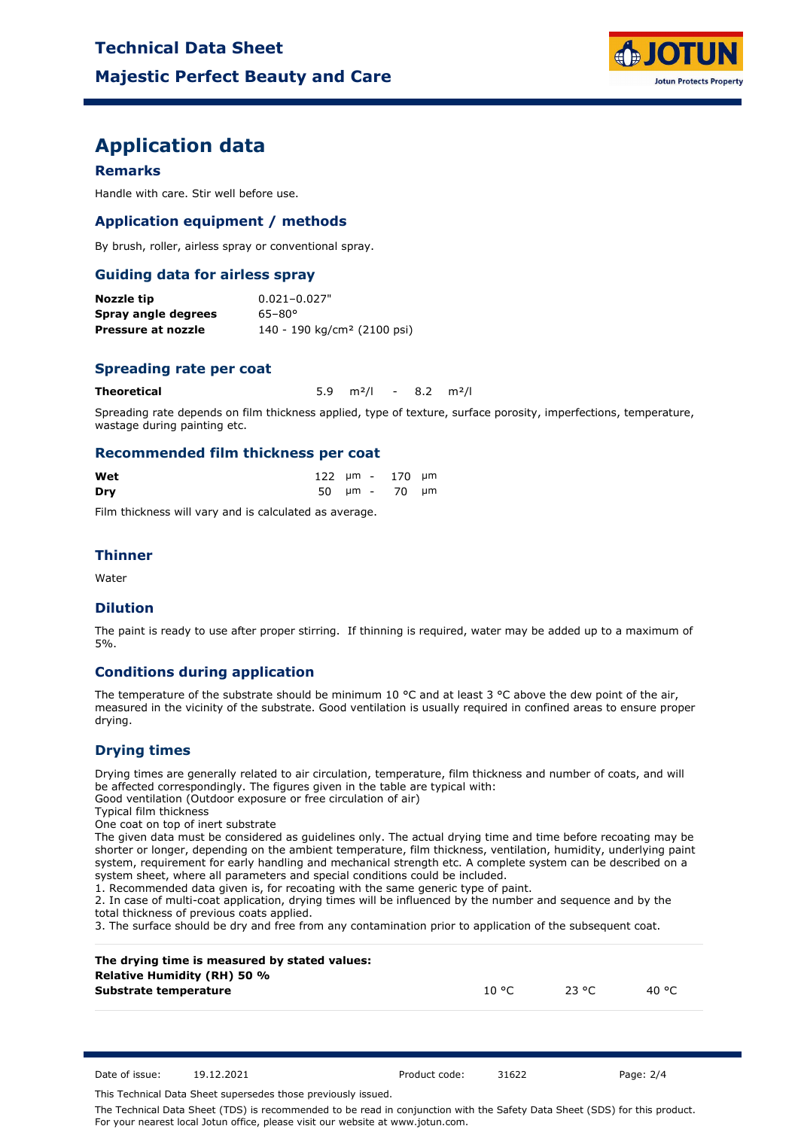

# **Application data**

### **Remarks**

Handle with care. Stir well before use.

### **Application equipment / methods**

By brush, roller, airless spray or conventional spray.

### **Guiding data for airless spray**

| Nozzle tip          | $0.021 - 0.027"$                        |
|---------------------|-----------------------------------------|
| Spray angle degrees | $65 - 80^{\circ}$                       |
| Pressure at nozzle  | 140 - 190 kg/cm <sup>2</sup> (2100 psi) |

### **Spreading rate per coat**

**Theoretical** 5.9 m²/l - 8.2 m²/l

Spreading rate depends on film thickness applied, type of texture, surface porosity, imperfections, temperature, wastage during painting etc.

#### **Recommended film thickness per coat**

| Wet |  | 122 µm - 170 µm |  |
|-----|--|-----------------|--|
| Dry |  | 50 µm - 70 µm   |  |

Film thickness will vary and is calculated as average.

### **Thinner**

Water

### **Dilution**

The paint is ready to use after proper stirring. If thinning is required, water may be added up to a maximum of 5%.

### **Conditions during application**

The temperature of the substrate should be minimum 10 °C and at least 3 °C above the dew point of the air, measured in the vicinity of the substrate. Good ventilation is usually required in confined areas to ensure proper drying.

### **Drying times**

Drying times are generally related to air circulation, temperature, film thickness and number of coats, and will be affected correspondingly. The figures given in the table are typical with:

Good ventilation (Outdoor exposure or free circulation of air)

Typical film thickness

One coat on top of inert substrate

The given data must be considered as guidelines only. The actual drying time and time before recoating may be shorter or longer, depending on the ambient temperature, film thickness, ventilation, humidity, underlying paint system, requirement for early handling and mechanical strength etc. A complete system can be described on a system sheet, where all parameters and special conditions could be included.

1. Recommended data given is, for recoating with the same generic type of paint.

2. In case of multi-coat application, drying times will be influenced by the number and sequence and by the total thickness of previous coats applied.

3. The surface should be dry and free from any contamination prior to application of the subsequent coat.

| The drying time is measured by stated values:<br><b>Relative Humidity (RH) 50 %</b> |        |       |        |  |
|-------------------------------------------------------------------------------------|--------|-------|--------|--|
| Substrate temperature                                                               | 10 °C. | 23 °C | 40 °C. |  |

Date of issue: 19.12.2021 Product code: 31622 Page: 2/4

This Technical Data Sheet supersedes those previously issued.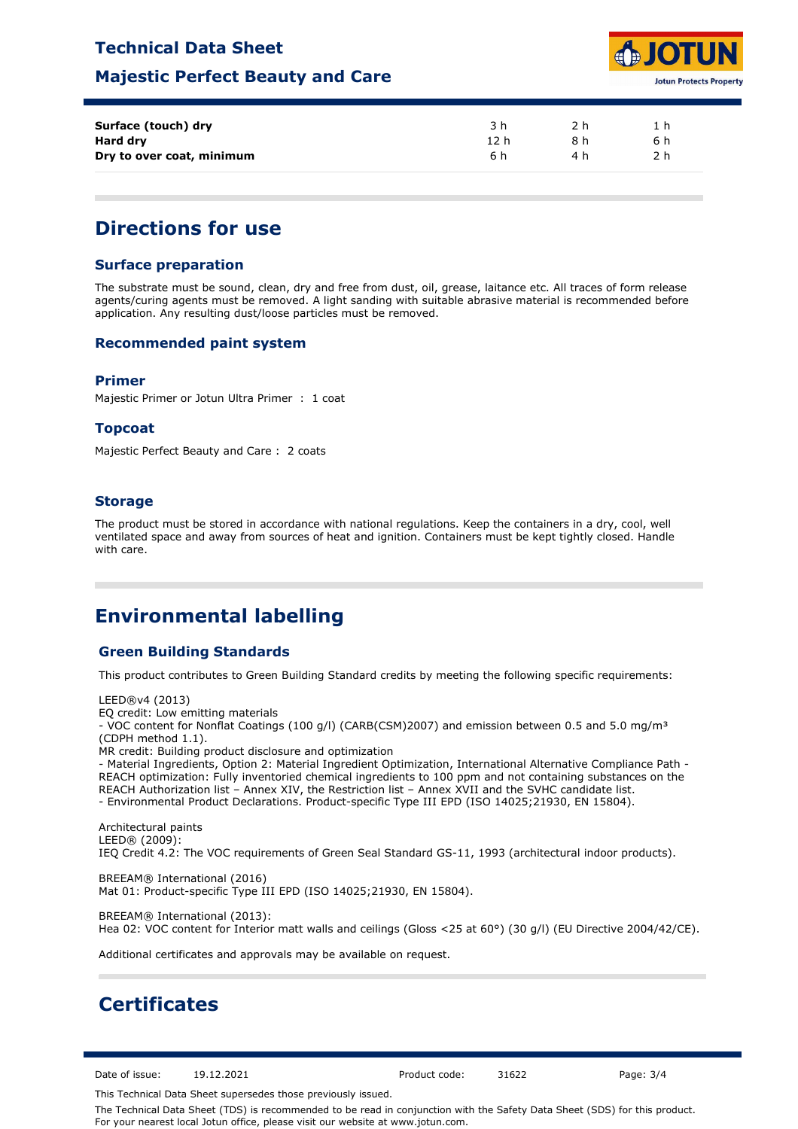### **Technical Data Sheet**

### **Majestic Perfect Beauty and Care**



| Surface (touch) dry       | 3 h  | つh  |     |  |
|---------------------------|------|-----|-----|--|
| Hard dry                  | 12 h | 8 h | 6 h |  |
| Dry to over coat, minimum | 6 h  | 4 h | 2 h |  |

# **Directions for use**

### **Surface preparation**

The substrate must be sound, clean, dry and free from dust, oil, grease, laitance etc. All traces of form release agents/curing agents must be removed. A light sanding with suitable abrasive material is recommended before application. Any resulting dust/loose particles must be removed.

### **Recommended paint system**

#### **Primer**

Majestic Primer or Jotun Ultra Primer : 1 coat

### **Topcoat**

Majestic Perfect Beauty and Care : 2 coats

### **Storage**

The product must be stored in accordance with national regulations. Keep the containers in a dry, cool, well ventilated space and away from sources of heat and ignition. Containers must be kept tightly closed. Handle with care.

# **Environmental labelling**

### **Green Building Standards**

This product contributes to Green Building Standard credits by meeting the following specific requirements:

LEED®v4 (2013) EQ credit: Low emitting materials - VOC content for Nonflat Coatings (100 g/l) (CARB(CSM)2007) and emission between 0.5 and 5.0 mg/m<sup>3</sup> (CDPH method 1.1). MR credit: Building product disclosure and optimization - Material Ingredients, Option 2: Material Ingredient Optimization, International Alternative Compliance Path - REACH optimization: Fully inventoried chemical ingredients to 100 ppm and not containing substances on the REACH Authorization list – Annex XIV, the Restriction list – Annex XVII and the SVHC candidate list. - Environmental Product Declarations. Product-specific Type III EPD (ISO 14025;21930, EN 15804). Architectural paints LEED® (2009):

IEQ Credit 4.2: The VOC requirements of Green Seal Standard GS-11, 1993 (architectural indoor products).

BREEAM® International (2016) Mat 01: Product-specific Type III EPD (ISO 14025;21930, EN 15804).

BREEAM® International (2013): Hea 02: VOC content for Interior matt walls and ceilings (Gloss <25 at 60°) (30 g/l) (EU Directive 2004/42/CE).

Additional certificates and approvals may be available on request.

# **Certificates**

Date of issue: 19.12.2021 Product code: 31622 Page: 3/4

This Technical Data Sheet supersedes those previously issued.